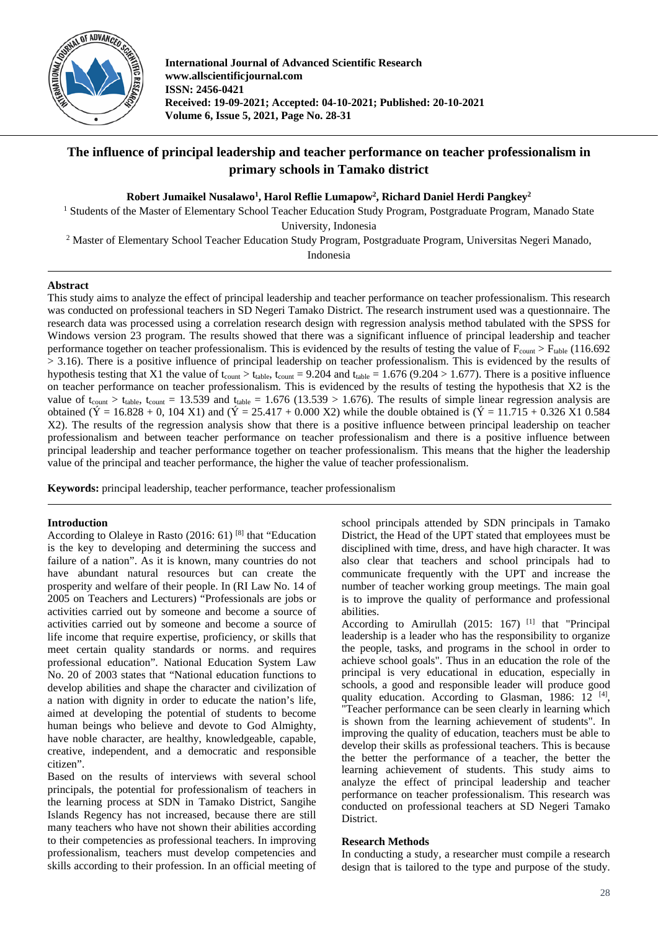

**International Journal of Advanced Scientific Research www.allscientificjournal.com ISSN: 2456-0421 Received: 19-09-2021; Accepted: 04-10-2021; Published: 20-10-2021 Volume 6, Issue 5, 2021, Page No. 28-31**

# **The influence of principal leadership and teacher performance on teacher professionalism in primary schools in Tamako district**

 ${\bf R}$ obert Jumaikel Nusalawo<sup>1</sup>, Harol Reflie Lumapow<sup>2</sup>, Richard Daniel Herdi Pangkey<sup>2</sup>

<sup>1</sup> Students of the Master of Elementary School Teacher Education Study Program, Postgraduate Program, Manado State

University, Indonesia

<sup>2</sup> Master of Elementary School Teacher Education Study Program, Postgraduate Program, Universitas Negeri Manado,

Indonesia

# **Abstract**

This study aims to analyze the effect of principal leadership and teacher performance on teacher professionalism. This research was conducted on professional teachers in SD Negeri Tamako District. The research instrument used was a questionnaire. The research data was processed using a correlation research design with regression analysis method tabulated with the SPSS for Windows version 23 program. The results showed that there was a significant influence of principal leadership and teacher performance together on teacher professionalism. This is evidenced by the results of testing the value of  $F_{\text{count}} > F_{\text{table}}$  (116.692 > 3.16). There is a positive influence of principal leadership on teacher professionalism. This is evidenced by the results of hypothesis testing that X1 the value of t<sub>count</sub>  $> t_{table}$ , t<sub>count</sub> = 9.204 and t<sub>table</sub> = 1.676 (9.204 > 1.677). There is a positive influence on teacher performance on teacher professionalism. This is evidenced by the results of testing the hypothesis that X2 is the value of t<sub>count</sub>  $>$  t<sub>table</sub>, t<sub>count</sub> = 13.539 and t<sub>table</sub> = 1.676 (13.539  $>$  1.676). The results of simple linear regression analysis are obtained ( $\acute{Y}$  = 16.828 + 0, 104 X1) and ( $\acute{Y}$  = 25.417 + 0.000 X2) while the double obtained is ( $\acute{Y}$  = 11.715 + 0.326 X1 0.584 X2). The results of the regression analysis show that there is a positive influence between principal leadership on teacher professionalism and between teacher performance on teacher professionalism and there is a positive influence between principal leadership and teacher performance together on teacher professionalism. This means that the higher the leadership value of the principal and teacher performance, the higher the value of teacher professionalism.

**Keywords:** principal leadership, teacher performance, teacher professionalism

# **Introduction**

According to Olaleye in Rasto (2016: 61) [8] that "Education is the key to developing and determining the success and failure of a nation". As it is known, many countries do not have abundant natural resources but can create the prosperity and welfare of their people. In (RI Law No. 14 of 2005 on Teachers and Lecturers) "Professionals are jobs or activities carried out by someone and become a source of activities carried out by someone and become a source of life income that require expertise, proficiency, or skills that meet certain quality standards or norms. and requires professional education". National Education System Law No. 20 of 2003 states that "National education functions to develop abilities and shape the character and civilization of a nation with dignity in order to educate the nation's life, aimed at developing the potential of students to become human beings who believe and devote to God Almighty, have noble character, are healthy, knowledgeable, capable, creative, independent, and a democratic and responsible citizen".

Based on the results of interviews with several school principals, the potential for professionalism of teachers in the learning process at SDN in Tamako District, Sangihe Islands Regency has not increased, because there are still many teachers who have not shown their abilities according to their competencies as professional teachers. In improving professionalism, teachers must develop competencies and skills according to their profession. In an official meeting of

school principals attended by SDN principals in Tamako District, the Head of the UPT stated that employees must be disciplined with time, dress, and have high character. It was also clear that teachers and school principals had to communicate frequently with the UPT and increase the number of teacher working group meetings. The main goal is to improve the quality of performance and professional abilities.

According to Amirullah (2015: 167)<sup>[1]</sup> that "Principal leadership is a leader who has the responsibility to organize the people, tasks, and programs in the school in order to achieve school goals". Thus in an education the role of the principal is very educational in education, especially in schools, a good and responsible leader will produce good quality education. According to Glasman, 1986: 12<sup>[4]</sup>, "Teacher performance can be seen clearly in learning which is shown from the learning achievement of students". In improving the quality of education, teachers must be able to develop their skills as professional teachers. This is because the better the performance of a teacher, the better the learning achievement of students. This study aims to analyze the effect of principal leadership and teacher performance on teacher professionalism. This research was conducted on professional teachers at SD Negeri Tamako District.

## **Research Methods**

In conducting a study, a researcher must compile a research design that is tailored to the type and purpose of the study.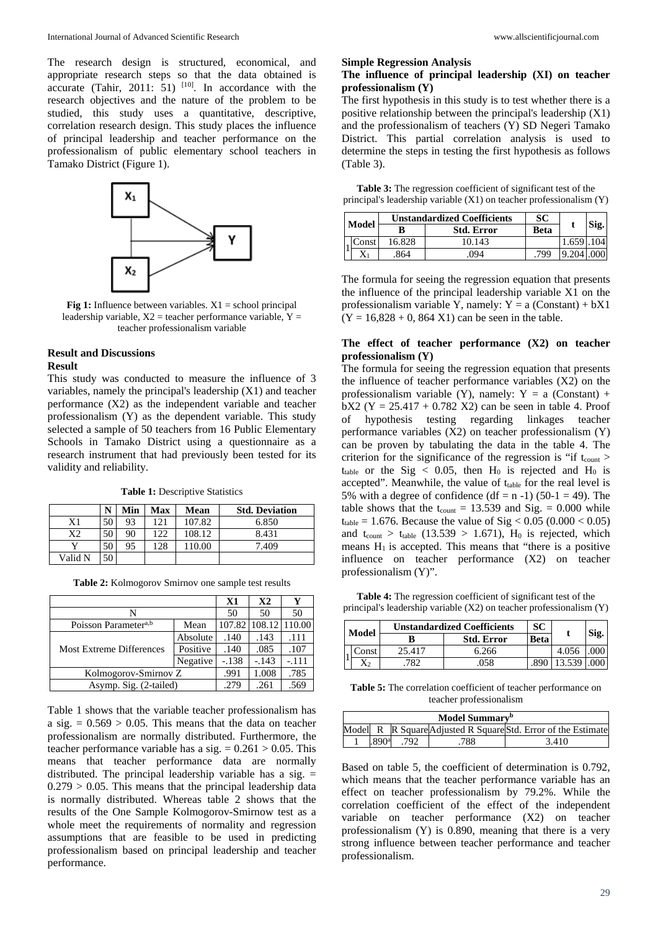The research design is structured, economical, and appropriate research steps so that the data obtained is accurate (Tahir, 2011: 51)  $[10]$ . In accordance with the research objectives and the nature of the problem to be studied, this study uses a quantitative, descriptive, correlation research design. This study places the influence of principal leadership and teacher performance on the professionalism of public elementary school teachers in Tamako District (Figure 1).



**Fig 1:** Influence between variables.  $X1 =$  school principal leadership variable,  $X2$  = teacher performance variable,  $Y =$ teacher professionalism variable

# **Result and Discussions Result**

This study was conducted to measure the influence of 3 variables, namely the principal's leadership (X1) and teacher performance (X2) as the independent variable and teacher professionalism (Y) as the dependent variable. This study selected a sample of 50 teachers from 16 Public Elementary Schools in Tamako District using a questionnaire as a research instrument that had previously been tested for its validity and reliability.

**Table 1:** Descriptive Statistics

|         | N  | Min | <b>Max</b> | Mean   | <b>Std. Deviation</b> |
|---------|----|-----|------------|--------|-----------------------|
| X1      | 50 | 93  | 121        | 107.82 | 6.850                 |
| X2      | 50 | 90  | 122        | 108.12 | 8.431                 |
|         | 50 | 95  | 28         | 110.00 | 7.409                 |
| Valid N | 50 |     |            |        |                       |

|                                  |          | $\mathbf{X}$ 1 | X <sub>2</sub> | Y       |
|----------------------------------|----------|----------------|----------------|---------|
| N                                | 50       | 50             | 50             |         |
| Poisson Parameter <sup>a,b</sup> | Mean     | 107.82         | 108.12         | 110.00  |
|                                  | Absolute | .140           | .143           | .111    |
| <b>Most Extreme Differences</b>  | Positive | .140           | .085           | .107    |
|                                  | Negative | $-.138$        | $-.143$        | $-.111$ |
| Kolmogorov-Smirnov Z             | .991     | 1.008          | .785           |         |
| Asymp. Sig. (2-tailed)           | .279     | .261           | .569           |         |

Table 1 shows that the variable teacher professionalism has a sig.  $= 0.569 > 0.05$ . This means that the data on teacher professionalism are normally distributed. Furthermore, the teacher performance variable has a sig.  $= 0.261 > 0.05$ . This means that teacher performance data are normally distributed. The principal leadership variable has a sig.  $=$  $0.279 > 0.05$ . This means that the principal leadership data is normally distributed. Whereas table 2 shows that the results of the One Sample Kolmogorov-Smirnow test as a whole meet the requirements of normality and regression assumptions that are feasible to be used in predicting professionalism based on principal leadership and teacher performance.

#### **Simple Regression Analysis**

#### **The influence of principal leadership (XI) on teacher professionalism (Y)**

The first hypothesis in this study is to test whether there is a positive relationship between the principal's leadership (X1) and the professionalism of teachers (Y) SD Negeri Tamako District. This partial correlation analysis is used to determine the steps in testing the first hypothesis as follows (Table 3).

**Table 3:** The regression coefficient of significant test of the principal's leadership variable (X1) on teacher professionalism (Y)

|       |       | <b>Unstandardized Coefficients</b> | SС                |      | Sig.  |      |
|-------|-------|------------------------------------|-------------------|------|-------|------|
| Model |       |                                    | <b>Std. Error</b> |      |       | Beta |
|       | Const | 16.828                             | 10.143            |      | 1.659 | 104  |
|       | X1    | .864                               | 094               | .799 | 9.204 | .000 |

The formula for seeing the regression equation that presents the influence of the principal leadership variable X1 on the professionalism variable Y, namely:  $Y = a (Constant) + bX1$  $(Y = 16,828 + 0, 864 X1)$  can be seen in the table.

## **The effect of teacher performance (X2) on teacher professionalism (Y)**

The formula for seeing the regression equation that presents the influence of teacher performance variables (X2) on the professionalism variable (Y), namely:  $Y = a$  (Constant) +  $\overline{bX2}$  (Y = 25.417 + 0.782 X2) can be seen in table 4. Proof of hypothesis testing regarding linkages teacher performance variables (X2) on teacher professionalism (Y) can be proven by tabulating the data in the table 4. The criterion for the significance of the regression is "if  $t_{\text{count}}$  > t<sub>table</sub> or the Sig < 0.05, then  $H_0$  is rejected and  $H_0$  is accepted". Meanwhile, the value of  $t_{table}$  for the real level is 5% with a degree of confidence  $(df = n -1) (50-1 = 49)$ . The table shows that the  $t_{\text{count}} = 13.539$  and Sig. = 0.000 while  $t_{table} = 1.676$ . Because the value of Sig < 0.05 (0.000 < 0.05) and  $t_{count} > t_{table}$  (13.539 > 1.671),  $H_0$  is rejected, which means  $H_1$  is accepted. This means that "there is a positive influence on teacher performance (X2) on teacher professionalism (Y)".

**Table 4:** The regression coefficient of significant test of the principal's leadership variable (X2) on teacher professionalism (Y)

|  | Model | <b>Unstandardized Coefficients</b> | SС                |  | Sig.  |             |
|--|-------|------------------------------------|-------------------|--|-------|-------------|
|  |       |                                    | <b>Std. Error</b> |  |       | <b>Beta</b> |
|  | `onst | 25 417                             | 6.266             |  | 4.056 |             |
|  | X2    |                                    | 058               |  | .539  |             |

**Table 5:** The correlation coefficient of teacher performance on teacher professionalism

| Model Summarv <sup>b</sup> |      |     |  |                                                               |  |  |
|----------------------------|------|-----|--|---------------------------------------------------------------|--|--|
|                            |      |     |  | Model R R Square Adjusted R Square Std. Error of the Estimate |  |  |
|                            | QO∩a | 792 |  | 3 410                                                         |  |  |

Based on table 5, the coefficient of determination is 0.792, which means that the teacher performance variable has an effect on teacher professionalism by 79.2%. While the correlation coefficient of the effect of the independent variable on teacher performance (X2) on teacher professionalism (Y) is 0.890, meaning that there is a very strong influence between teacher performance and teacher professionalism.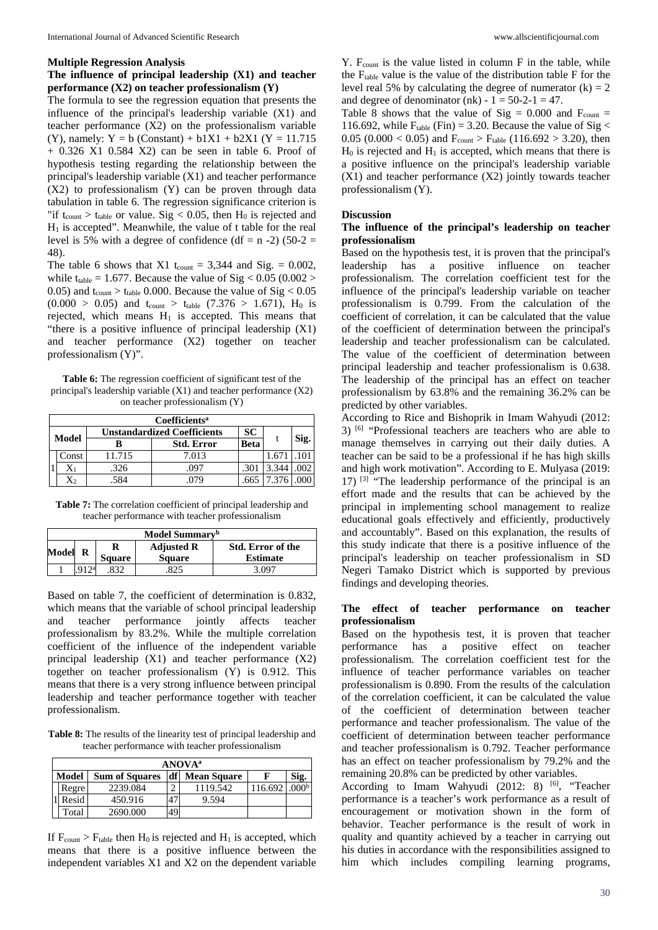## **Multiple Regression Analysis**

# **The influence of principal leadership (X1) and teacher performance (X2) on teacher professionalism (Y)**

The formula to see the regression equation that presents the influence of the principal's leadership variable (X1) and teacher performance (X2) on the professionalism variable (Y), namely:  $Y = b$  (Constant) + b1X1 + b2X1 (Y = 11.715 + 0.326 X1 0.584 X2) can be seen in table 6. Proof of hypothesis testing regarding the relationship between the principal's leadership variable (X1) and teacher performance (X2) to professionalism (Y) can be proven through data tabulation in table 6. The regression significance criterion is "if  $t_{\text{count}} > t_{\text{table}}$  or value. Sig < 0.05, then  $H_0$  is rejected and  $H<sub>1</sub>$  is accepted". Meanwhile, the value of t table for the real level is 5% with a degree of confidence (df = n -2) (50-2 = 48).

The table 6 shows that X1 t<sub>count</sub> = 3,344 and Sig. =  $0.002$ , while  $t_{table} = 1.677$ . Because the value of Sig < 0.05 (0.002 > 0.05) and  $t_{\text{count}} > t_{\text{table}}$  0.000. Because the value of Sig  $< 0.05$  $(0.000 > 0.05)$  and t<sub>count</sub>  $>$  t<sub>table</sub>  $(7.376 > 1.671)$ , H<sub>0</sub> is rejected, which means  $H_1$  is accepted. This means that "there is a positive influence of principal leadership (X1) and teacher performance (X2) together on teacher professionalism (Y)".

**Table 6:** The regression coefficient of significant test of the principal's leadership variable (X1) and teacher performance (X2) on teacher professionalism (Y)

|  | Coefficients <sup>a</sup> |                                    |       |             |       |      |  |  |  |  |
|--|---------------------------|------------------------------------|-------|-------------|-------|------|--|--|--|--|
|  | Model                     | <b>Unstandardized Coefficients</b> |       |             |       |      |  |  |  |  |
|  |                           | <b>Std. Error</b>                  |       | <b>Beta</b> |       | Sig. |  |  |  |  |
|  | Const                     | 11.715                             | 7.013 |             |       |      |  |  |  |  |
|  | $X_1$                     | .326                               | .097  | .301        | 3.344 |      |  |  |  |  |
|  | X2                        | 584                                |       |             | 7 376 |      |  |  |  |  |

**Table 7:** The correlation coefficient of principal leadership and teacher performance with teacher professionalism

| Model Summary <sup>b</sup> |  |               |                   |                   |  |  |
|----------------------------|--|---------------|-------------------|-------------------|--|--|
| Model R                    |  |               | <b>Adjusted R</b> | Std. Error of the |  |  |
|                            |  | <b>Square</b> | <b>Square</b>     | <b>Estimate</b>   |  |  |
|                            |  |               |                   | 3.097             |  |  |

Based on table 7, the coefficient of determination is 0.832, which means that the variable of school principal leadership and teacher performance jointly affects teacher professionalism by 83.2%. While the multiple correlation coefficient of the influence of the independent variable principal leadership (X1) and teacher performance (X2) together on teacher professionalism (Y) is 0.912. This means that there is a very strong influence between principal leadership and teacher performance together with teacher professionalism.

**Table 8:** The results of the linearity test of principal leadership and teacher performance with teacher professionalism

|                                                                                | <b>ANOVA</b> <sup>a</sup> |          |    |          |         |                  |  |  |  |
|--------------------------------------------------------------------------------|---------------------------|----------|----|----------|---------|------------------|--|--|--|
| df<br>Sig.<br><b>Model</b><br><b>Sum of Squares</b><br><b>Mean Square</b><br>F |                           |          |    |          |         |                  |  |  |  |
|                                                                                | Regre                     | 2239.084 | ◠  | 1119.542 | 116.692 | 000 <sup>b</sup> |  |  |  |
|                                                                                | Resid                     | 450.916  | 47 | 9.594    |         |                  |  |  |  |
|                                                                                | Total                     | 2690.000 | 49 |          |         |                  |  |  |  |

If  $F_{count} > F_{table}$  then  $H_0$  is rejected and  $H_1$  is accepted, which means that there is a positive influence between the independent variables X1 and X2 on the dependent variable

 $Y.$   $F_{\text{count}}$  is the value listed in column  $F$  in the table, while the  $F_{table}$  value is the value of the distribution table  $F$  for the level real 5% by calculating the degree of numerator  $(k) = 2$ and degree of denominator (nk) -  $1 = 50-2-1 = 47$ .

Table 8 shows that the value of Sig =  $0.000$  and F<sub>count</sub> = 116.692, while  $F_{table}$  (Fin) = 3.20. Because the value of Sig < 0.05 (0.000 < 0.05) and  $F_{\text{count}} > F_{\text{table}}$  (116.692 > 3.20), then  $H_0$  is rejected and  $H_1$  is accepted, which means that there is a positive influence on the principal's leadership variable (X1) and teacher performance (X2) jointly towards teacher professionalism (Y).

#### **Discussion**

#### **The influence of the principal's leadership on teacher professionalism**

Based on the hypothesis test, it is proven that the principal's leadership has a positive influence on teacher professionalism. The correlation coefficient test for the influence of the principal's leadership variable on teacher professionalism is 0.799. From the calculation of the coefficient of correlation, it can be calculated that the value of the coefficient of determination between the principal's leadership and teacher professionalism can be calculated. The value of the coefficient of determination between principal leadership and teacher professionalism is 0.638. The leadership of the principal has an effect on teacher professionalism by 63.8% and the remaining 36.2% can be predicted by other variables.

According to Rice and Bishoprik in Imam Wahyudi (2012: 3) [6] "Professional teachers are teachers who are able to manage themselves in carrying out their daily duties. A teacher can be said to be a professional if he has high skills and high work motivation". According to E. Mulyasa (2019:  $17)$  <sup>[3]</sup> "The leadership performance of the principal is an effort made and the results that can be achieved by the principal in implementing school management to realize educational goals effectively and efficiently, productively and accountably". Based on this explanation, the results of this study indicate that there is a positive influence of the principal's leadership on teacher professionalism in SD Negeri Tamako District which is supported by previous findings and developing theories.

## **The effect of teacher performance on teacher professionalism**

Based on the hypothesis test, it is proven that teacher performance has a positive effect on teacher professionalism. The correlation coefficient test for the influence of teacher performance variables on teacher professionalism is 0.890. From the results of the calculation of the correlation coefficient, it can be calculated the value of the coefficient of determination between teacher performance and teacher professionalism. The value of the coefficient of determination between teacher performance and teacher professionalism is 0.792. Teacher performance has an effect on teacher professionalism by 79.2% and the remaining 20.8% can be predicted by other variables.

According to Imam Wahyudi (2012: 8)<sup>[6]</sup>, "Teacher performance is a teacher's work performance as a result of encouragement or motivation shown in the form of behavior. Teacher performance is the result of work in quality and quantity achieved by a teacher in carrying out his duties in accordance with the responsibilities assigned to him which includes compiling learning programs,